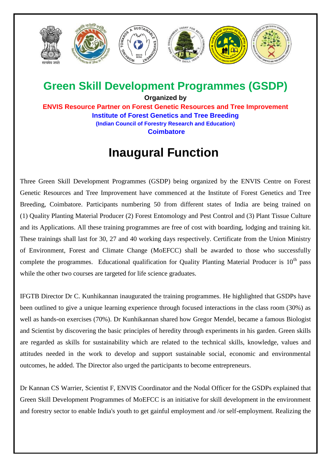

## **Green Skill Development Programmes (GSDP)**

**Organized by**

**ENVIS Resource Partner on Forest Genetic Resources and Tree Improvement Institute of Forest Genetics and Tree Breeding (Indian Council of Forestry Research and Education) Coimbatore**

## **Inaugural Function**

Three Green Skill Development Programmes (GSDP) being organized by the ENVIS Centre on Forest Genetic Resources and Tree Improvement have commenced at the Institute of Forest Genetics and Tree Breeding, Coimbatore. Participants numbering 50 from different states of India are being trained on (1) Quality Planting Material Producer (2) Forest Entomology and Pest Control and (3) Plant Tissue Culture and its Applications. All these training programmes are free of cost with boarding, lodging and training kit. These trainings shall last for 30, 27 and 40 working days respectively. Certificate from the Union Ministry of Environment, Forest and Climate Change (MoEFCC) shall be awarded to those who successfully complete the programmes. Educational qualification for Quality Planting Material Producer is  $10^{th}$  pass while the other two courses are targeted for life science graduates.

IFGTB Director Dr C. Kunhikannan inaugurated the training programmes. He highlighted that GSDPs have been outlined to give a unique learning experience through focused interactions in the class room (30%) as well as hands-on exercises (70%). Dr Kunhikannan shared how Gregor Mendel, became a famous Biologist and Scientist by discovering the basic principles of heredity through experiments in his garden. Green skills are regarded as skills for sustainability which are related to the technical skills, knowledge, values and attitudes needed in the work to develop and support sustainable social, economic and environmental outcomes, he added. The Director also urged the participants to become entrepreneurs.

Dr Kannan CS Warrier, Scientist F, ENVIS Coordinator and the Nodal Officer for the GSDPs explained that Green Skill Development Programmes of MoEFCC is an initiative for skill development in the environment and forestry sector to enable India's youth to get gainful employment and /or self-employment. Realizing the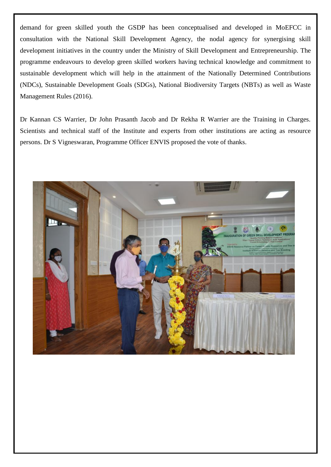demand for green skilled youth the GSDP has been conceptualised and developed in MoEFCC in consultation with the National Skill Development Agency, the nodal agency for synergising skill development initiatives in the country under the Ministry of Skill Development and Entrepreneurship. The programme endeavours to develop green skilled workers having technical knowledge and commitment to sustainable development which will help in the attainment of the Nationally Determined Contributions (NDCs), Sustainable Development Goals (SDGs), National Biodiversity Targets (NBTs) as well as Waste Management Rules (2016).

Dr Kannan CS Warrier, Dr John Prasanth Jacob and Dr Rekha R Warrier are the Training in Charges. Scientists and technical staff of the Institute and experts from other institutions are acting as resource persons. Dr S Vigneswaran, Programme Officer ENVIS proposed the vote of thanks.

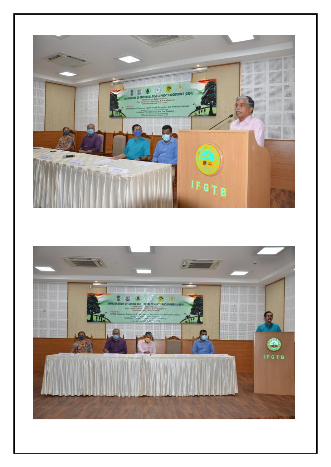

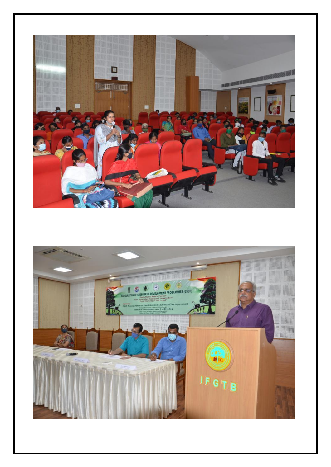